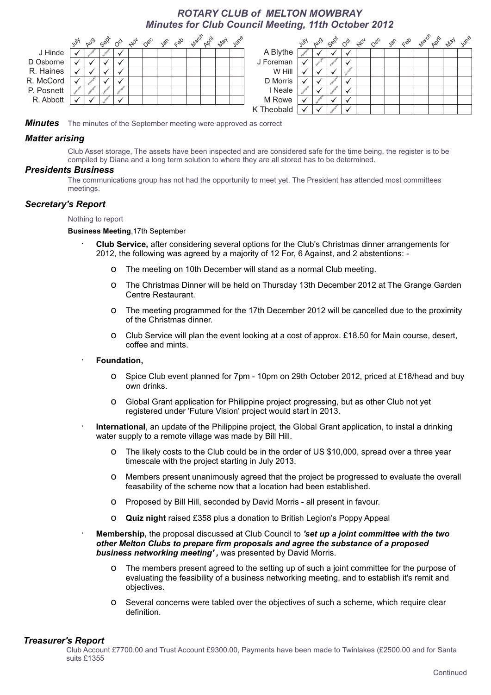# *ROTARY CLUB of MELTON MOWBRAY Minutes for Club Council Meeting, 11th October 2012*



*Minutes*  The minutes of the September meeting were approved as correct

## *Matter arising*

Club Asset storage, The assets have been inspected and are considered safe for the time being, the register is to be compiled by Diana and a long term solution to where they are all stored has to be determined.

## *Presidents Business*

The communications group has not had the opportunity to meet yet. The President has attended most committees meetings.

#### *Secretary's Report*

#### Nothing to report

**Business Meeting**,17th September

- · **Club Service,** after considering several options for the Club's Christmas dinner arrangements for 2012, the following was agreed by a majority of 12 For, 6 Against, and 2 abstentions:
	- o The meeting on 10th December will stand as a normal Club meeting.
	- o The Christmas Dinner will be held on Thursday 13th December 2012 at The Grange Garden Centre Restaurant.
	- o The meeting programmed for the 17th December 2012 will be cancelled due to the proximity of the Christmas dinner.
	- o Club Service will plan the event looking at a cost of approx. £18.50 for Main course, desert, coffee and mints.
- · **Foundation,** 
	- o Spice Club event planned for 7pm 10pm on 29th October 2012, priced at £18/head and buy own drinks.
	- o Global Grant application for Philippine project progressing, but as other Club not yet registered under 'Future Vision' project would start in 2013.
- International, an update of the Philippine project, the Global Grant application, to instal a drinking water supply to a remote village was made by Bill Hill.
	- o The likely costs to the Club could be in the order of US \$10,000, spread over a three year timescale with the project starting in July 2013.
	- o Members present unanimously agreed that the project be progressed to evaluate the overall feasability of the scheme now that a location had been established.
	- o Proposed by Bill Hill, seconded by David Morris all present in favour.
	- o **Quiz night** raised £358 plus a donation to British Legion's Poppy Appeal
- · **Membership,** the proposal discussed at Club Council to *'set up a joint committee with the two other Melton Clubs to prepare firm proposals and agree the substance of a proposed business networking meeting' ,* was presented by David Morris.
	- o The members present agreed to the setting up of such a joint committee for the purpose of evaluating the feasibility of a business networking meeting, and to establish it's remit and objectives.
	- o Several concerns were tabled over the objectives of such a scheme, which require clear definition.

#### *Treasurer's Report*